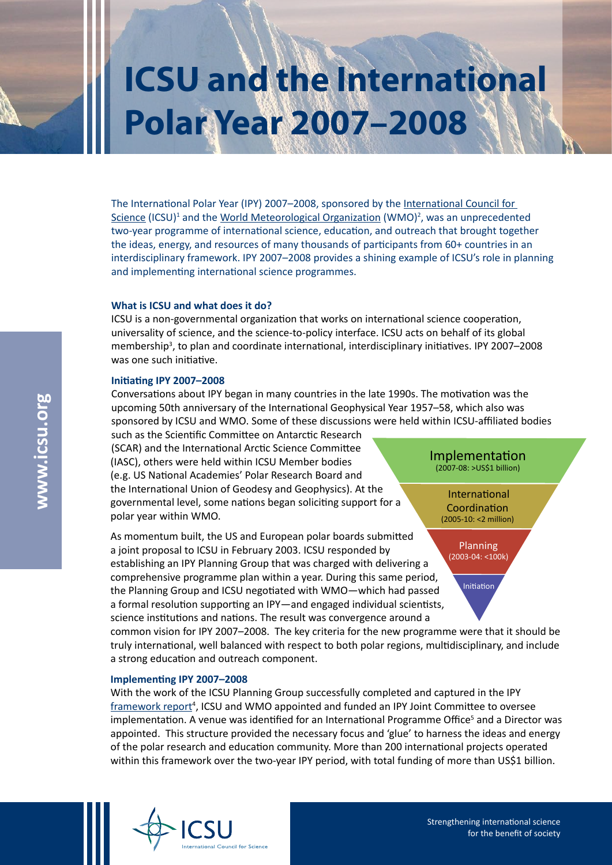# **ICSU and the International Polar Year 2007–2008**

The International Polar Year (IPY) 2007–2008, sponsored by the [International Council for](http://www.icsu.org)  [Scienc](http://www.icsu.org)e (ICSU)<sup>1</sup> and the [World Meteorological Organizatio](http://www.wmo.int/)n (WMO)<sup>2</sup>, was an unprecedented two-year programme of international science, education, and outreach that brought together the ideas, energy, and resources of many thousands of participants from 60+ countries in an interdisciplinary framework. IPY 2007–2008 provides a shining example of ICSU's role in planning and implementing international science programmes.

#### **What is ICSU and what does it do?**

ICSU is a non-governmental organization that works on international science cooperation, universality of science, and the science-to-policy interface. ICSU acts on behalf of its global membership<sup>3</sup>, to plan and coordinate international, interdisciplinary initiatives. IPY 2007-2008 was one such initiative.

### **Initiating IPY 2007–2008**

Conversations about IPY began in many countries in the late 1990s. The motivation was the upcoming 50th anniversary of the International Geophysical Year 1957–58, which also was sponsored by ICSU and WMO. Some of these discussions were held within ICSU-affiliated bodies

such as the Scientific Committee on Antarctic Research (SCAR) and the International Arctic Science Committee (IASC), others were held within ICSU Member bodies (e.g. US National Academies' Polar Research Board and the International Union of Geodesy and Geophysics). At the governmental level, some nations began soliciting support for a polar year within WMO.

As momentum built, the US and European polar boards submitted a joint proposal to ICSU in February 2003. ICSU responded by establishing an IPY Planning Group that was charged with delivering a comprehensive programme plan within a year. During this same period, the Planning Group and ICSU negotiated with WMO—which had passed a formal resolution supporting an IPY—and engaged individual scientists, science institutions and nations. The result was convergence around a

Implementation (2007-08: >US\$1 billion)

 International Coordination (2005-10: <2 million)

> Planning (2003-04: <100k)

> > Initiation

common vision for IPY 2007–2008. The key criteria for the new programme were that it should be truly international, well balanced with respect to both polar regions, multidisciplinary, and include a strong education and outreach component.

## **Implementing IPY 2007–2008**

With the work of the ICSU Planning Group successfully completed and captured in the IPY [framework repor](http://www.icsu.org/Gestion/img/ICSU_DOC_DOWNLOAD/562_DD_FILE_IPY_web_version.pdf)t<sup>4</sup>, ICSU and WMO appointed and funded an IPY Joint Committee to oversee implementation. A venue was identified for an International Programme Office<sup>5</sup> and a Director was appointed. This structure provided the necessary focus and 'glue' to harness the ideas and energy of the polar research and education community. More than 200 international projects operated within this framework over the two-year IPY period, with total funding of more than US\$1 billion.